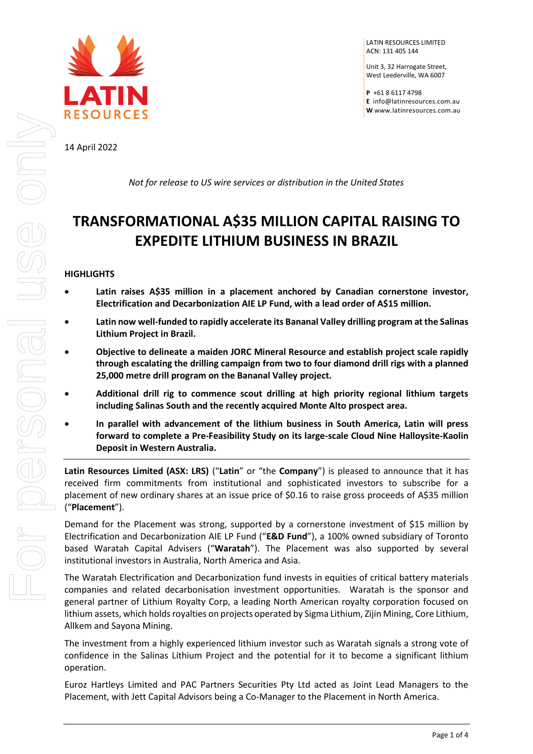

LATIN RESOURCES LIMITED ACN: 131 405 144

Unit 3, 32 Harrogate Street, West Leederville, WA 6007

**P** +61 8 6117 4798 **E** [info@latinresources.com.au](mailto:info@latinresources.com.au) **W** [www.latinresources.com.au](http://www.latinresources.com.au/)

14 April 2022

*Not for release to US wire services or distribution in the United States*

# **TRANSFORMATIONAL A\$35 MILLION CAPITAL RAISING TO EXPEDITE LITHIUM BUSINESS IN BRAZIL**

# **HIGHLIGHTS**

- **Latin raises A\$35 million in a placement anchored by Canadian cornerstone investor, Electrification and Decarbonization AIE LP Fund, with a lead order of A\$15 million.**
- **Latin now well-funded to rapidly accelerate its Bananal Valley drilling program at the Salinas Lithium Project in Brazil.**
- **Objective to delineate a maiden JORC Mineral Resource and establish project scale rapidly through escalating the drilling campaign from two to four diamond drill rigs with a planned 25,000 metre drill program on the Bananal Valley project.**
- **Additional drill rig to commence scout drilling at high priority regional lithium targets including Salinas South and the recently acquired Monte Alto prospect area.**
- **In parallel with advancement of the lithium business in South America, Latin will press forward to complete a Pre-Feasibility Study on its large-scale Cloud Nine Halloysite-Kaolin Deposit in Western Australia.**

**Latin Resources Limited (ASX: LRS)** ("**Latin**" or "the **Company**") is pleased to announce that it has received firm commitments from institutional and sophisticated investors to subscribe for a placement of new ordinary shares at an issue price of \$0.16 to raise gross proceeds of A\$35 million ("**Placement**").

Demand for the Placement was strong, supported by a cornerstone investment of \$15 million by Electrification and Decarbonization AIE LP Fund ("**E&D Fund**"), a 100% owned subsidiary of Toronto based Waratah Capital Advisers ("**Waratah**"). The Placement was also supported by several institutional investors in Australia, North America and Asia.

The Waratah Electrification and Decarbonization fund invests in equities of critical battery materials companies and related decarbonisation investment opportunities. Waratah is the sponsor and general partner of Lithium Royalty Corp, a leading North American royalty corporation focused on lithium assets, which holds royalties on projects operated by Sigma Lithium, Zijin Mining, Core Lithium, Allkem and Sayona Mining.

The investment from a highly experienced lithium investor such as Waratah signals a strong vote of confidence in the Salinas Lithium Project and the potential for it to become a significant lithium operation.

Euroz Hartleys Limited and PAC Partners Securities Pty Ltd acted as Joint Lead Managers to the Placement, with Jett Capital Advisors being a Co-Manager to the Placement in North America.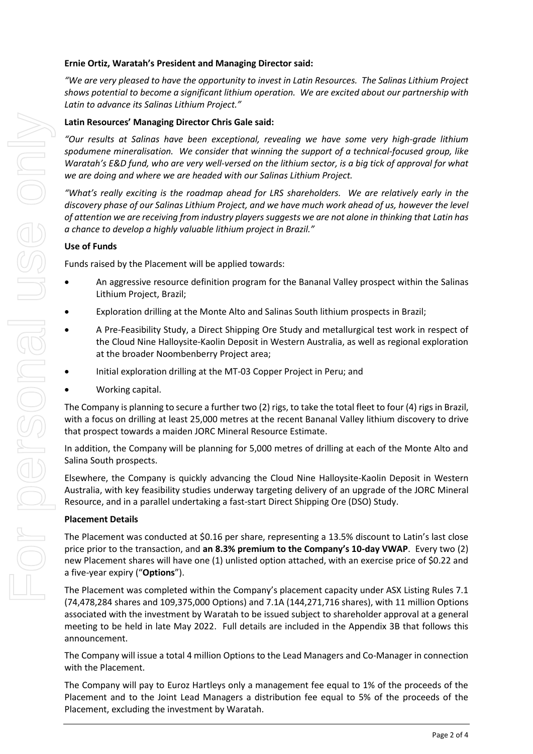### **Ernie Ortiz, Waratah's President and Managing Director said:**

*"We are very pleased to have the opportunity to invest in Latin Resources. The Salinas Lithium Project shows potential to become a significant lithium operation. We are excited about our partnership with Latin to advance its Salinas Lithium Project."*

# **Latin Resources' Managing Director Chris Gale said:**

*"Our results at Salinas have been exceptional, revealing we have some very high-grade lithium spodumene mineralisation. We consider that winning the support of a technical-focused group, like Waratah's E&D fund, who are very well-versed on the lithium sector, is a big tick of approval for what we are doing and where we are headed with our Salinas Lithium Project.* 

*"What's really exciting is the roadmap ahead for LRS shareholders. We are relatively early in the discovery phase of our Salinas Lithium Project, and we have much work ahead of us, however the level of attention we are receiving from industry players suggests we are not alone in thinking that Latin has a chance to develop a highly valuable lithium project in Brazil."*

# **Use of Funds**

Funds raised by the Placement will be applied towards:

- An aggressive resource definition program for the Bananal Valley prospect within the Salinas Lithium Project, Brazil;
- Exploration drilling at the Monte Alto and Salinas South lithium prospects in Brazil;
- A Pre-Feasibility Study, a Direct Shipping Ore Study and metallurgical test work in respect of the Cloud Nine Halloysite-Kaolin Deposit in Western Australia, as well as regional exploration at the broader Noombenberry Project area;
- Initial exploration drilling at the MT-03 Copper Project in Peru; and
- Working capital.

The Company is planning to secure a further two (2) rigs, to take the total fleet to four (4) rigs in Brazil, with a focus on drilling at least 25,000 metres at the recent Bananal Valley lithium discovery to drive that prospect towards a maiden JORC Mineral Resource Estimate.

In addition, the Company will be planning for 5,000 metres of drilling at each of the Monte Alto and Salina South prospects.

Elsewhere, the Company is quickly advancing the Cloud Nine Halloysite-Kaolin Deposit in Western Australia, with key feasibility studies underway targeting delivery of an upgrade of the JORC Mineral Resource, and in a parallel undertaking a fast-start Direct Shipping Ore (DSO) Study.

#### **Placement Details**

The Placement was conducted at \$0.16 per share, representing a 13.5% discount to Latin's last close price prior to the transaction, and **an 8.3% premium to the Company's 10-day VWAP**. Every two (2) new Placement shares will have one (1) unlisted option attached, with an exercise price of \$0.22 and a five-year expiry ("**Options**").

The Placement was completed within the Company's placement capacity under ASX Listing Rules 7.1 (74,478,284 shares and 109,375,000 Options) and 7.1A (144,271,716 shares), with 11 million Options associated with the investment by Waratah to be issued subject to shareholder approval at a general meeting to be held in late May 2022. Full details are included in the Appendix 3B that follows this announcement.

The Company will issue a total 4 million Options to the Lead Managers and Co-Manager in connection with the Placement.

The Company will pay to Euroz Hartleys only a management fee equal to 1% of the proceeds of the Placement and to the Joint Lead Managers a distribution fee equal to 5% of the proceeds of the Placement, excluding the investment by Waratah.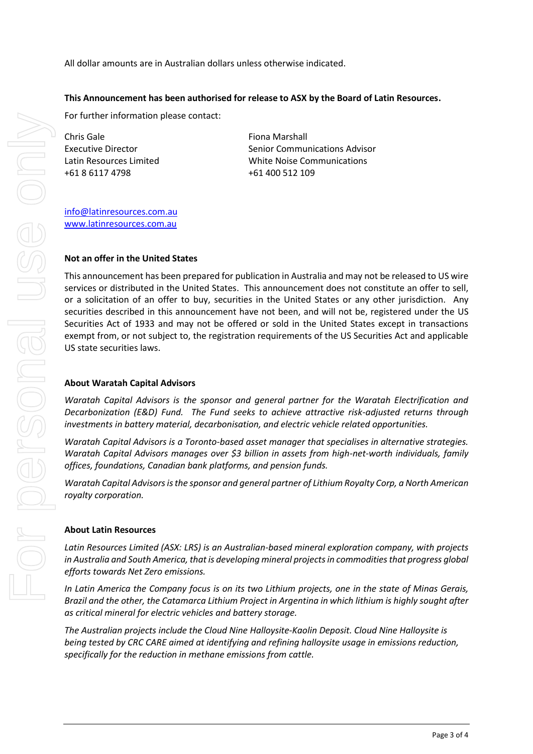All dollar amounts are in Australian dollars unless otherwise indicated.

#### **This Announcement has been authorised for release to ASX by the Board of Latin Resources.**

For further information please contact:

Chris Gale Executive Director Latin Resources Limited +61 8 6117 4798

Fiona Marshall Senior Communications Advisor White Noise Communications +61 400 512 109

[info@latinresources.com.au](mailto:info@latinresources.com.au) [www.latinresources.com.au](http://www.latinresources.com.au/)

#### **Not an offer in the United States**

This announcement has been prepared for publication in Australia and may not be released to US wire services or distributed in the United States. This announcement does not constitute an offer to sell, or a solicitation of an offer to buy, securities in the United States or any other jurisdiction. Any securities described in this announcement have not been, and will not be, registered under the US Securities Act of 1933 and may not be offered or sold in the United States except in transactions exempt from, or not subject to, the registration requirements of the US Securities Act and applicable US state securities laws.

#### **About Waratah Capital Advisors**

*Waratah Capital Advisors is the sponsor and general partner for the Waratah Electrification and Decarbonization (E&D) Fund. The Fund seeks to achieve attractive risk-adjusted returns through investments in battery material, decarbonisation, and electric vehicle related opportunities.* 

*Waratah Capital Advisors is a Toronto-based asset manager that specialises in alternative strategies. Waratah Capital Advisors manages over \$3 billion in assets from high-net-worth individuals, family offices, foundations, Canadian bank platforms, and pension funds.* 

*Waratah Capital Advisors is the sponsor and general partner of Lithium Royalty Corp, a North American royalty corporation.*

#### **About Latin Resources**

*Latin Resources Limited (ASX: LRS) is an Australian-based mineral exploration company, with projects in Australia and South America, that is developing mineral projects in commodities that progress global efforts towards Net Zero emissions.* 

*In Latin America the Company focus is on its two Lithium projects, one in the state of Minas Gerais, Brazil and the other, the Catamarca Lithium Project in Argentina in which lithium is highly sought after as critical mineral for electric vehicles and battery storage.*

*The Australian projects include the Cloud Nine Halloysite-Kaolin Deposit. Cloud Nine Halloysite is being tested by CRC CARE aimed at identifying and refining halloysite usage in emissions reduction, specifically for the reduction in methane emissions from cattle.*